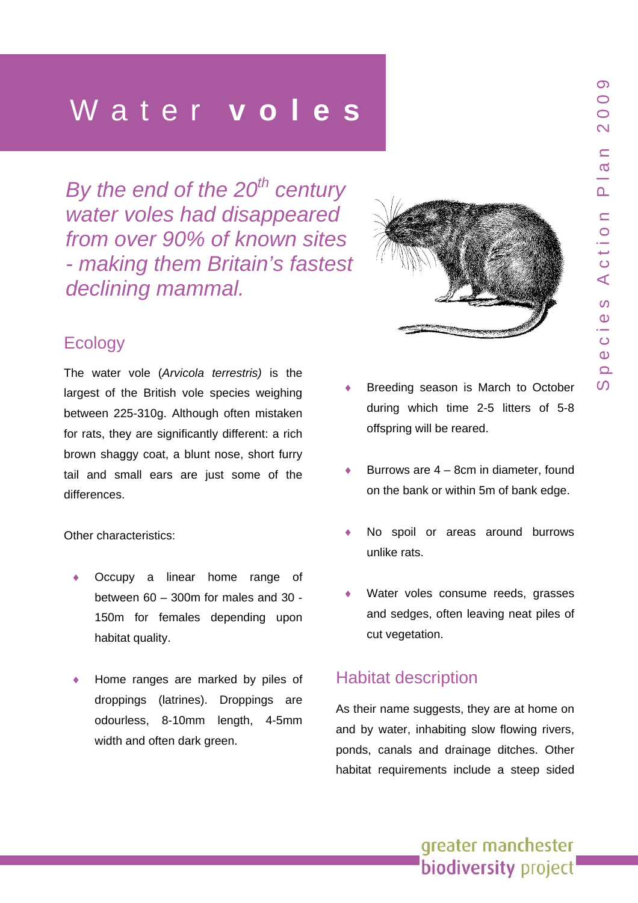*By* the end of the 20<sup>th</sup> century *water* voles had disappeared *rom over 90% of known site f s making them Britain's faste t - s* declining mammal.



### **Ecology**

The water vole (*Arvicola terrestris)* is the largest of the British vole species weighing between 225-310g. Although often mistaken for rats, they are significantly different: a rich brown shaggy coat, a blunt nose, short furry tail and small ears are just some of the differences.

Other characteristics:

- Occupy a linear home range of between 60 – 300m for males and 30 - 150m for females depending upon habitat quality.
- Home ranges are marked by piles of droppings (latrines). Droppings are odourless, 8-10mm length, 4-5mm width and often dark green.
- Breeding season is March to October during which time 2-5 litters of 5-8 offspring will be reared.
- Burrows are  $4 8$ cm in diameter, found on the bank or within 5m of bank edge.
- No spoil or areas around burrows unlike rats.
- Water voles consume reeds, grasses and sedges, often leaving neat piles of cut vegetation.

### Habitat description

As their name suggests, they are at home on and by water, inhabiting slow flowing rivers, ponds, canals and drainage ditches. Other habitat requirements include a steep sided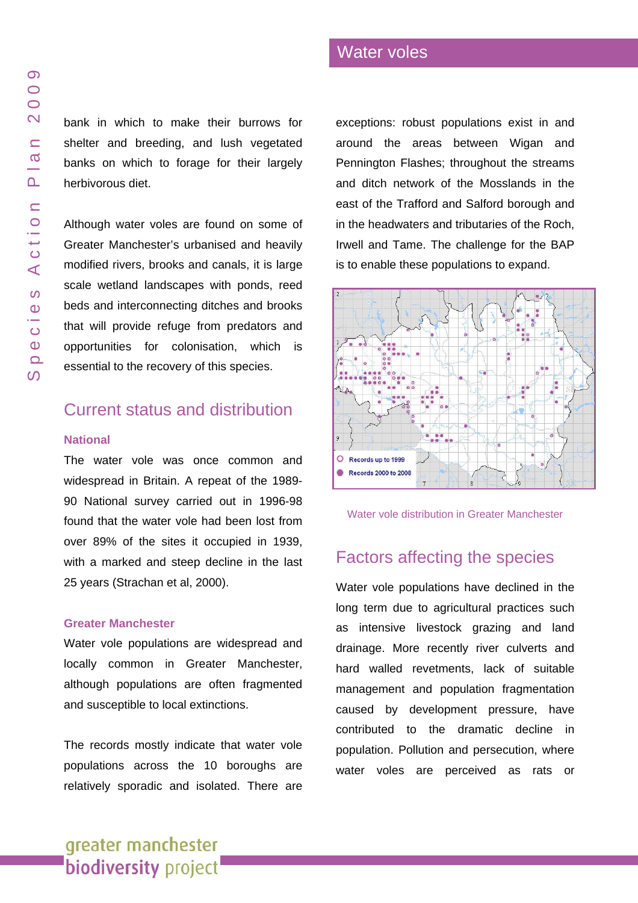bank in which to make their burrows for shelter and breeding, and lush vegetated banks on which to forage for their largely herbivorous diet.

Although water voles a re found on some of Greater Manchester's u rbanised and heavily modified rivers, brooks and canals, it is large scale wetland landscapes with ponds, reed beds and interconnectin g ditches and brooks that will pro vide refuge from predators an d opportunitie s for colonisation, which is essential to the recovery of this spe cies.

### Current status and distribution

#### **National**

The water vole was once common and widespread in Britain. A repeat of the 1989- 90 National survey carried out in 1996-98 found that the water vole had been lost from over 89% of the sites it occup ied in 1939, with a marked and steep decline in the last 25 years (Strachan et al, 2000).

#### **Greater Manchester**

Water vole populations are widespread and locally common in Greater Manchester, although populations are often fragmented and susceptible to local extinctions.

The records mostly indicate that water vole populations across the 10 boroughs are relatively sporadic and isolated. There are

### exceptions: robust populations exist in and around the areas between Wigan and Pennington Flashes; throughout the streams and ditch n etwork of the Mosslands in the east of the Trafford and Salford borough and in the headwaters and tributaries of the Roch, Irwell and Tame. The challenge for the BAP is to enable these populations to expand.

Water voles



Water vole distribution in Greate r Man chester

### Factors affecting the species

Water vole populations have declined in the long term due to agricultural practices such as intensive livestock grazing and land drainage. More recently river culverts and hard walled revetments, lack of suitable management and population fragmentation caused by development pressure, have contributed to the dramatic decline in population. Pollution and persecution, where water voles are perceived as rats o r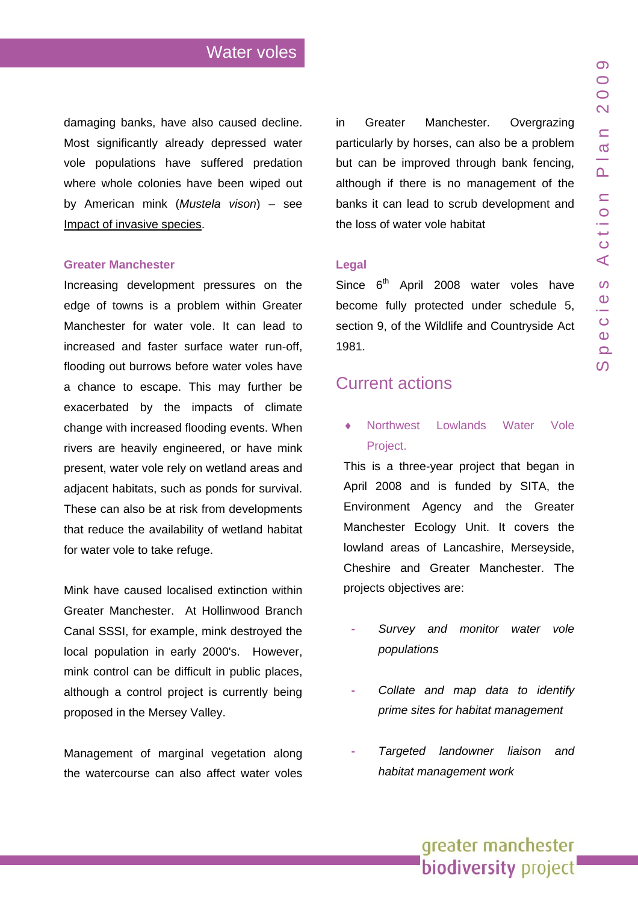damaging banks, have also caused decline. Most significantly already depressed water vole populations have suffered predation where whole colonies have been wiped out by American mink (*Mustela vison*) – see Impact of invasive [species.](#page-7-0) 

#### **Greater Manchester**

that reduce the availability of wetland habitat for water vole to take refuge. Increasing development pressures on the edge of towns is a problem within Greater Manchester for water vole. It can lead to increased and faster surface water run-off, flooding out burrows before water voles have a chance to escape. This may further be exacerbated by the impacts of climate change with increased flooding events. When rivers are heavily engineered, or have mink present, water vole rely on wetland areas and adjacent habitats, such as ponds for survival. These can also be at risk from developments

although a control project is currently being roposed in the Mersey Valley. p Mink have caused localised extinction within Greater Manchester. At Hollinwood Branch Canal SSSI, for example, mink destroyed the local population in early 2000's. However, mink control can be difficult in public places,

Management of marginal vegetation along the watercourse can also affect water voles

banks it can lead to scrub development and the loss of water vole habitat in Greater Manchester. Overgrazing particularly by horses, can also be a problem but can be improved through bank fencing, although if there is no management of the

#### **Legal**

section 9, of the Wildlife and Countryside Act 1981. Since  $6<sup>th</sup>$  April 2008 water voles have become fully protected under schedule 5,

### **Current actions**

• Northwest Lowlands Water Vole Project.

Cheshire and Greater Manchester. The projects objectives are: This is a three-year project that began in April 2008 and is funded by SITA, the Environment Agency and the Greater Manchester Ecology Unit. It covers the lowland areas of Lancashire, Merseyside,

- *monitor water vole Survey and populations*
- *y Collate and map data to identif prime sites for habitat management*
- *ison and Targeted landowner lia habitat management work*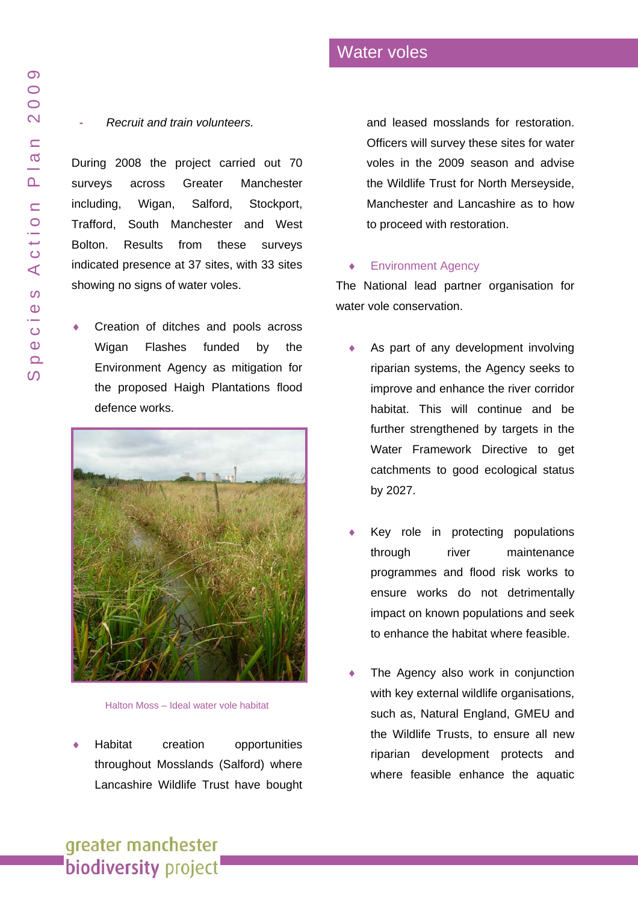#### **-** *Recruit and train volunte ers.*

indicated presence at 37 sites, with 33 sites showing no signs of water voles. During 2008 the project carried out 70 surveys across Greater cheste r including, Wigan, Salford, Stockport, Trafford, South Manchester and West Bolton. Results from t h e s e surveys

♦ Environment Agency as mitigation for<br>the proposed Haigh Plantations flood Creation of ditches and pools across Wigan Flashes d e d b y t h e defence works.

Officers will survey these sites for water voles in the 2009 sea son and advise the Wildlife Trust for North Merseyside,

Manchester and Lancashire as to how to proceed with restoration.<br>
Final metal Agency<br>
The National lead partner organisation for

and leased mosslands for restoration.

#### ♦ Environment Agency

water vole conservation.

- ♦ catchments to good ecological status by 2027. As part of any development invol ving riparian systems, the Agency seeks to improve and enhance the river corridor habitat. This will continue and be further strengthened by targets in the Water Framework Directive to get
- ♦ to enhance the habitat where feasible. Key role i n protectin g populations through river maintenance programmes and flood risk works to ensure works do not detrimentally impact on known populations and seek
- ♦ where feasible enhance the aquatic The Agency also work in conjunction with key ext ernal wildlife organisatio ns, such as, Natural England, GMEU and the Wildlife Trusts, to e nsure all new riparian development protects a n d

Halton Moss - Ideal water vole habitat

♦ Habitat creation rtunities throughout Mosslands (Salford) where Lancashire Wildlife Trust have bought

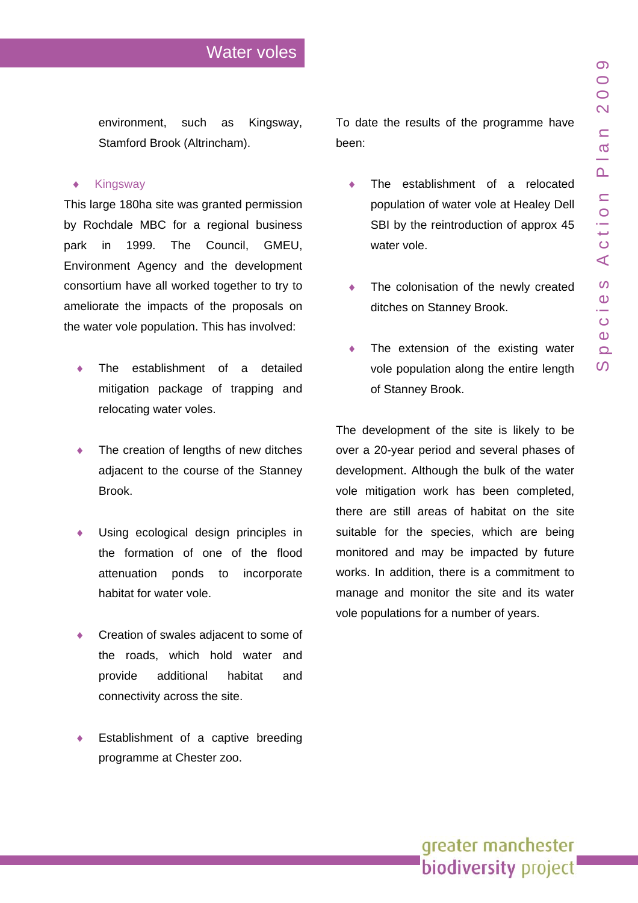environment, such as Kingsway, Stamford Brook (Altrincham).

#### ♦ Kingsway

This large 180ha site was granted permission by Rochdale MBC for a regional business park in 1999. The Council, GMEU, Environment Agency and the development consortium have all worked together to try to ameliorate the impacts of the proposals on the water vole population. This has involved:

- The establishment of a detailed mitigation package of trapping and relocating water voles.
- The creation of lengths of new ditches adjacent to the course of the Stanney Brook.
- Using ecological design principles in the formation of one of the flood attenuation ponds to incorporate habitat for water vole.
- Creation of swales adjacent to some of the roads, which hold water and provide additional habitat and connectivity across the site.
- Establishment of a captive breeding programme at Chester zoo.

To date the results of the programme have been:

- The establishment of a relocated population of water vole at Healey Dell SBI by the reintroduction of approx 45 water vole.
- ♦ The colonisation of the newly created ditches on Stanney Brook.
- The extension of the existing water vole population along the entire length of Stanney Brook.

The development of the site is likely to be over a 20-year period and several phases of development. Although the bulk of the water vole mitigation work has been completed, there are still areas of habitat on the site suitable for the species, which are being monitored and may be impacted by future works. In addition, there is a commitment to manage and monitor the site and its water vole populations for a number of years.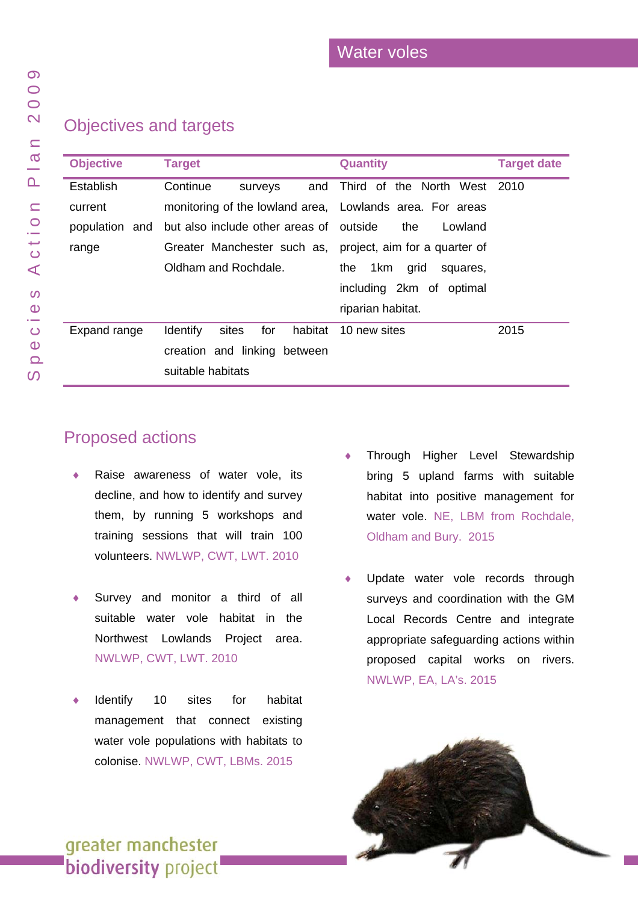### Objectives and targets

| <b>Objective</b> | <b>Target</b>                                             | <b>Quantity</b>                | <b>Target date</b> |
|------------------|-----------------------------------------------------------|--------------------------------|--------------------|
| Establish        | Continue<br>and<br>surveys                                | Third of the North West        | -2010              |
| current          | monitoring of the lowland area, Lowlands area. For areas  |                                |                    |
| population and   | but also include other areas of outside                   | the<br>Lowland                 |                    |
| range            | Greater Manchester such as, project, aim for a quarter of |                                |                    |
|                  | Oldham and Rochdale.                                      | 1km<br>the<br>grid<br>squares, |                    |
|                  |                                                           | including 2km of optimal       |                    |
|                  |                                                           | riparian habitat.              |                    |
| Expand range     | for<br>habitat<br><b>Identify</b><br>sites                | 10 new sites                   | 2015               |
|                  | creation and linking between                              |                                |                    |
|                  | suitable habitats                                         |                                |                    |

### Proposed actions

- Raise awareness of water vole, its decline, and how to identify and survey them, by running 5 workshops and training sessions that will train 100 volunteers. NWLWP, CWT, LWT. 2010
- Survey and monitor a third of all suitable w ater vole habitat in the Northwest Lowlands Project area. NWLWP, CWT, LWT. 2010
- Identify 10 sites for habitat management that connect existing water vole populations with habitats to colonise. NWLWP, CWT, LBMs. 2015
- Through Higher Level Stewardship bring 5 upland farms with suitable habitat into positive management for water vole. NE, LBM from Rochdale, Oldham and Bury. 2015
- Update water vole records through surveys and coordination with the GM Local Records Centre and integrate appropriate safeguardin g actions within proposed capital works on rivers. NWLWP, EA, LA's. 2015

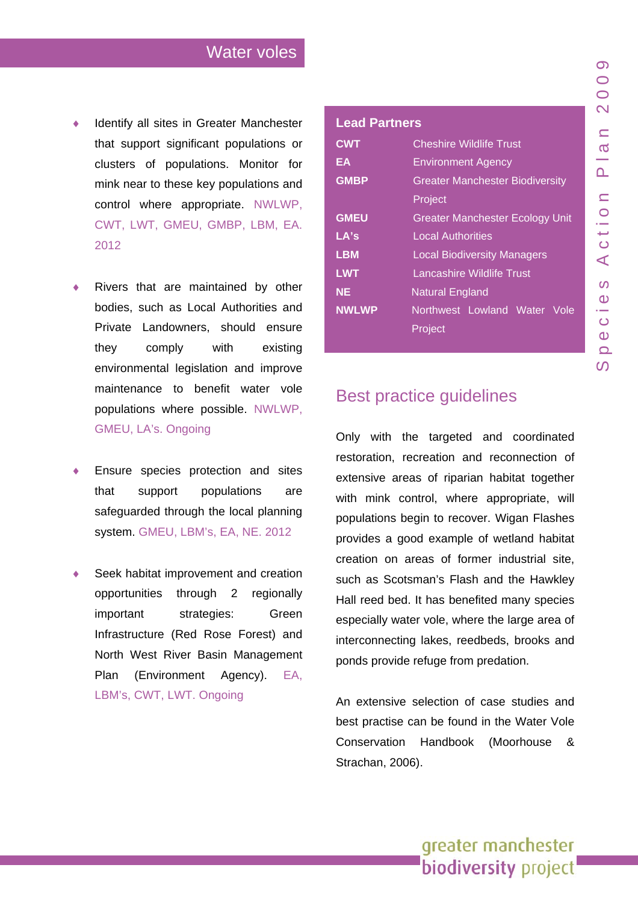- Identify all sites in Greater Manchester that support significant populations or clusters of populations. Monitor for mink near to these key populations and control where appropriate. NWLWP, CWT, LWT, GMEU, GMBP, LBM, EA. 2012
- Rivers that are maintained by other bodies, such as Local Authorities and Private Landowners, should ensure they comply with existing environmental legislation and improve maintenance to benefit water vole populations where possible. NWLWP, GMEU, LA's. Ongoing
- Ensure species protection and sites that support populations are safeguarded through the local planning system. GMEU, LBM's, EA, NE. 2012
- Seek habitat improvement and creation opportunities through 2 regionally important strategies: Green Infrastructure (Red Rose Forest) and North West River Basin Management Plan (Environment Agency). EA, LBM's, CWT, LWT. Ongoing

#### **Lead Partners**

| <b>CWT</b>   | <b>Cheshire Wildlife Trust</b>         |  |
|--------------|----------------------------------------|--|
| EA           | <b>Environment Agency</b>              |  |
| <b>GMBP</b>  | <b>Greater Manchester Biodiversity</b> |  |
|              | Project                                |  |
| <b>GMEU</b>  | <b>Greater Manchester Ecology Unit</b> |  |
| LA's         | <b>Local Authorities</b>               |  |
| <b>LBM</b>   | <b>Local Biodiversity Managers</b>     |  |
| <b>LWT</b>   | Lancashire Wildlife Trust              |  |
| <b>NE</b>    | <b>Natural England</b>                 |  |
| <b>NWLWP</b> | Northwest Lowland Water Vole           |  |
|              | Project                                |  |
|              |                                        |  |

### Species Action Plan 2009  $\overline{\mathcal{O}}$  $\bigcirc$  $\bigcirc$  $\mathbf{\Omega}$  $\subseteq$  $\boldsymbol{\sigma}$  $\overline{\mathbf{r}}$  $\subseteq$  $\overline{O}$  $\overline{\overline{O}}$  $\blacktriangleleft$  $\Omega$  $\mathbf 0$  $\overline{O}$  $\Omega$  $\Omega$  $\Omega$

### Best practice guidelines

Only with the targeted and coordinated restoration, recreation and reconnection of extensive areas of riparian habitat together with mink control, where appropriate, will populations begin to recover. Wigan Flashes provides a good example of wetland habitat creation on areas of former industrial site, such as Scotsman's Flash and the Hawkley Hall reed bed. It has benefited many species especially water vole, where the large area of interconnecting lakes, reedbeds, brooks and ponds provide refuge from predation.

An extensive selection of case studies and best practise can be found in the Water Vole Conservation Handbook (Moorhouse & Strachan, 2006).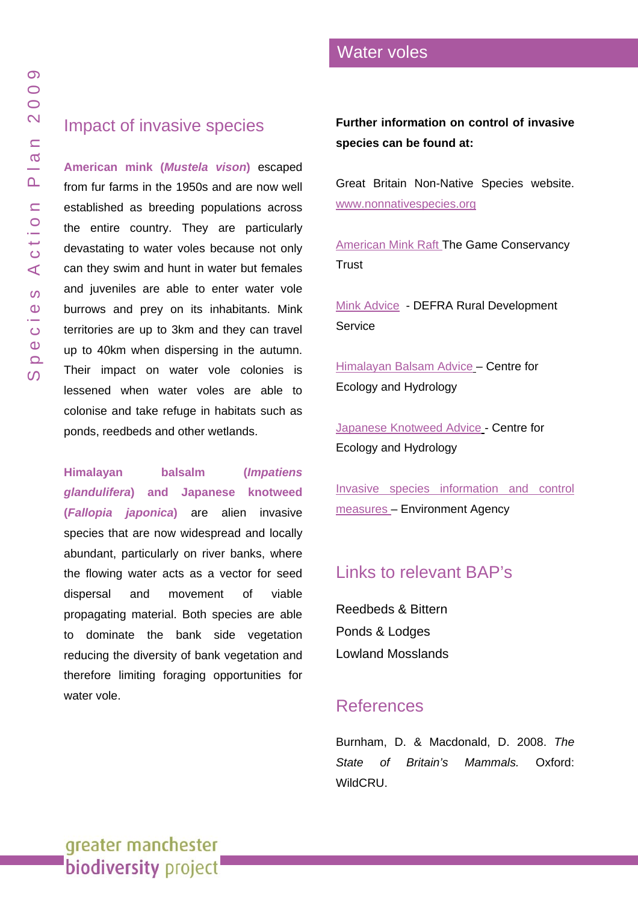<span id="page-7-0"></span>American mink (Mustela vison) escaped from fur farms in the 1950s and are now well establishe d as breedin g populations across the entire country. They are particularly devastating to water vol es because not only can they swim and hunt in water but females and juveniles are able to enter water vole burrows and prey on its inhabitants. Mink territories are up to 3km and they can travel up to 40km when dispersing in the autumn. Their impact on wat er vole colonies is lessened when water voles are able to colonise and take refuge in habitats such as ponds, reedbeds and other wetlands.

**Himala y a n balsalm (***Impatiens glandulifera***) and Japanese knotw eed (***Fallopia japonica***)** are alien invasive species tha t are now widespread and locally abundant, particularly on river banks, where the flowing water acts as a vector for seed dispersal and movement of viable propagating material. Both species are able to dominate the bank side vegetation reducing the diversity of bank vegetation an d therefore limiting foraging opportunities for water vole.

**Further information o n control o f invasive species can be found at:** 

Great Britain Non-Native Species website. [www.nonnativespecies.org](http://www.nonnativespecies.org/)

[American Mink Raft](http://www.gwct.org.uk/documents/gct_mink_raft_guidelineslr.pdf) The Game Conservancy **Trust** 

[Mink Advic](http://naturalengland.etraderstores.com/NaturalEnglandShop/UserFiles/Files/tan_02.pdf)e - DEFRA Rural Development **Service** 

[Himalayan Balsam Advice](http://www.nerc-wallingford.ac.uk/research/capm/pdf files/3 himalayan balsam.pdf) – Centre for Ecology and Hydrology

[Japanese Knotweed Advice](http://www.nerc-wallingford.ac.uk/research/capm/pdf files/5 Japanese knotweed.pdf) - Centre for Ecology and Hydrology

[Invasive species information and control](http://www.environment-agency.gov.uk/homeandleisure/wildlife/31350.aspx)  [measures –](http://www.environment-agency.gov.uk/homeandleisure/wildlife/31350.aspx) Environment Agency

# Links to relevant BAP's

[Reedbeds & Bittern](www.gmbp.org.uk/site/images/stories/reedbeds & bittern bap_09.pdf)  [Ponds & Lodges](www.gmbp.org.uk/site/images/stories/ponds & lodges bap_09.pdf)  [Lowland Mosslands](www.gmbp.org.uk/site/images/stories/lowland mosslands bap_08.pdf)

## References

Burnham, D. & Macdonald, D. 2008. *The State of Britain 's Mammals.* Oxford: WildCRU.